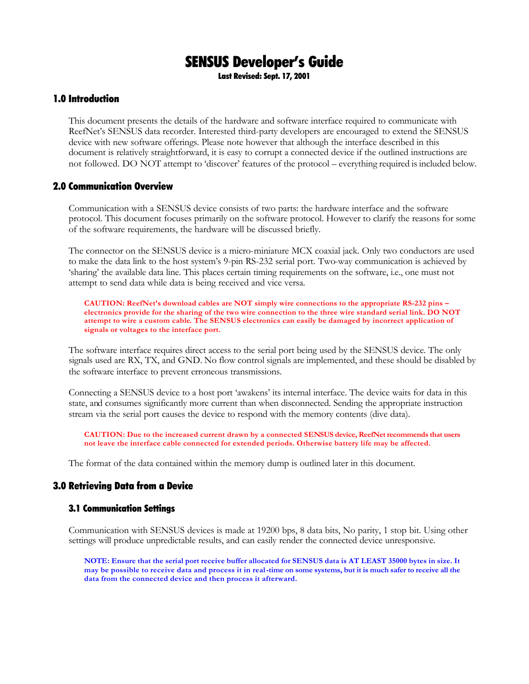# SENSUS Developer's Guide

Last Revised: Sept. 17, 2001

### 1.0 Introduction

This document presents the details of the hardware and software interface required to communicate with ReefNet's SENSUS data recorder. Interested third-party developers are encouraged to extend the SENSUS device with new software offerings. Please note however that although the interface described in this document is relatively straightforward, it is easy to corrupt a connected device if the outlined instructions are not followed. DO NOT attempt to 'discover' features of the protocol – everything required is included below.

#### 2.0 Communication Overview

Communication with a SENSUS device consists of two parts: the hardware interface and the software protocol. This document focuses primarily on the software protocol. However to clarify the reasons for some of the software requirements, the hardware will be discussed briefly.

The connector on the SENSUS device is a micro-miniature MCX coaxial jack. Only two conductors are used to make the data link to the host system's 9-pin RS-232 serial port. Two-way communication is achieved by 'sharing' the available data line. This places certain timing requirements on the software, i.e., one must not attempt to send data while data is being received and vice versa.

*CAUTION: ReefNet's download cables are NOT simply wire connections to the appropriate RS-232 pins – electronics provide for the sharing of the two wire connection to the three wire standard serial link. DO NOT attempt to wire a custom cable. The SENSUS electronics can easily be damaged by incorrect application of signals or voltages to the interface port.*

The software interface requires direct access to the serial port being used by the SENSUS device. The only signals used are RX, TX, and GND. No flow control signals are implemented, and these should be disabled by the software interface to prevent erroneous transmissions.

Connecting a SENSUS device to a host port 'awakens' its internal interface. The device waits for data in this state, and consumes significantly more current than when disconnected. Sending the appropriate instruction stream via the serial port causes the device to respond with the memory contents (dive data).

*CAUTION: Due to the increased current drawn by a connected SENSUS device, ReefNet recommends that users not leave the interface cable connected for extended periods. Otherwise battery life may be affected.*

The format of the data contained within the memory dump is outlined later in this document.

#### 3.0 Retrieving Data from a Device

#### 3.1 Communication Settings

Communication with SENSUS devices is made at 19200 bps, 8 data bits, No parity, 1 stop bit. Using other settings will produce unpredictable results, and can easily render the connected device unresponsive.

*NOTE: Ensure that the serial port receive buffer allocated for SENSUS data is AT LEAST 35000 bytes in size. It may be possible to receive data and process it in real-time on some systems, but it is much safer to receive all the data from the connected device and then process it afterward.*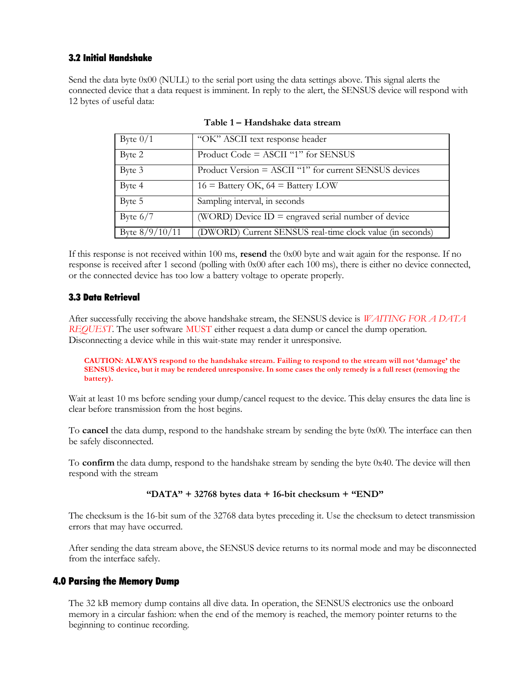### 3.2 Initial Handshake

Send the data byte 0x00 (NULL) to the serial port using the data settings above. This signal alerts the connected device that a data request is imminent. In reply to the alert, the SENSUS device will respond with 12 bytes of useful data:

| Byte $0/1$       | "OK" ASCII text response header                           |
|------------------|-----------------------------------------------------------|
| Byte 2           | Product Code = $ASCII$ "1" for SENSUS                     |
| Byte 3           | Product Version = ASCII "1" for current SENSUS devices    |
| Byte 4           | $16 =$ Battery OK, $64 =$ Battery LOW                     |
| Byte 5           | Sampling interval, in seconds                             |
| Byte $6/7$       | (WORD) Device $ID =$ engraved serial number of device     |
| Byte $8/9/10/11$ | (DWORD) Current SENSUS real-time clock value (in seconds) |

*Table 1 – Handshake data stream*

If this response is not received within 100 ms, *resend* the 0x00 byte and wait again for the response. If no response is received after 1 second (polling with 0x00 after each 100 ms), there is either no device connected, or the connected device has too low a battery voltage to operate properly.

#### 3.3 Data Retrieval

After successfully receiving the above handshake stream, the SENSUS device is *WAITING FOR A DATA REQUEST*. The user software MUST either request a data dump or cancel the dump operation. Disconnecting a device while in this wait-state may render it unresponsive.

*CAUTION: ALWAYS respond to the handshake stream. Failing to respond to the stream will not 'damage' the SENSUS device, but it may be rendered unresponsive. In some cases the only remedy is a full reset (removing the battery).*

Wait at least 10 ms before sending your dump/cancel request to the device. This delay ensures the data line is clear before transmission from the host begins.

To *cancel* the data dump, respond to the handshake stream by sending the byte 0x00. The interface can then be safely disconnected.

To *confirm* the data dump, respond to the handshake stream by sending the byte 0x40. The device will then respond with the stream

#### *"DATA" + 32768 bytes data + 16-bit checksum + "END"*

The checksum is the 16-bit sum of the 32768 data bytes preceding it. Use the checksum to detect transmission errors that may have occurred.

After sending the data stream above, the SENSUS device returns to its normal mode and may be disconnected from the interface safely.

## 4.0 Parsing the Memory Dump

The 32 kB memory dump contains all dive data. In operation, the SENSUS electronics use the onboard memory in a circular fashion: when the end of the memory is reached, the memory pointer returns to the beginning to continue recording.